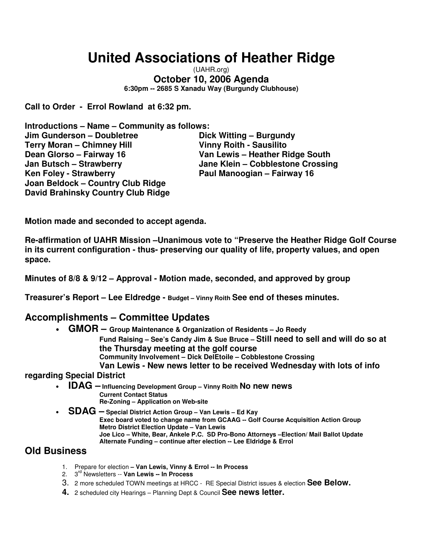## **United Associations of Heather Ridge**

(UAHR.org) **October 10, 2006 Agenda 6:30pm -- 2685 S Xanadu Way (Burgundy Clubhouse)**

**Call to Order - Errol Rowland at 6:32 pm.**

**Introductions – Name – Community as follows: Jim Gunderson – Doubletree Dick Witting – Burgundy Terry Moran – Chimney Hill Vinny Roith - Sausilito Dean Glorso – Fairway 16 Van Lewis – Heather Ridge South Jan Butsch – Strawberry Jane Klein – Cobblestone Crossing Ken Foley - Strawberry Paul Manoogian – Fairway 16 Joan Beldock – Country Club Ridge David Brahinsky Country Club Ridge**

**Motion made and seconded to accept agenda.**

**Re-affirmation of UAHR Mission –Unanimous vote to "Preserve the Heather Ridge Golf Course in its current configuration - thus- preserving our quality of life, property values, and open space.**

**Minutes of 8/8 & 9/12 – Approval - Motion made, seconded, and approved by group**

**Treasurer's Report – Lee Eldredge - Budget – Vinny Roith See end of theses minutes.**

#### **Accomplishments – Committee Updates**

• **GMOR – Group Maintenance & Organization of Residents – Jo Reedy**

**Fund Raising – See's Candy Jim & Sue Bruce – Still need to sell and will do so at the Thursday meeting at the golf course Community Involvement – Dick DelEtoile – Cobblestone Crossing Van Lewis - New news letter to be received Wednesday with lots of info**

#### **regarding Special District**

- **IDAG – Influencing Development Group – Vinny Roith No new news Current Contact Status Re-Zoning – Application on Web-site**
- **SDAG – Special District Action Group – Van Lewis – Ed Kay Exec board voted to change name from GCAAG -- Golf Course Acquisition Action Group Metro District Election Update – Van Lewis Joe Lico – White, Bear, Ankele P.C. SD Pro-Bono Attorneys –Election/ Mail Ballot Update Alternate Funding – continue after election -- Lee Eldridge & Errol**

#### **Old Business**

- 1. Prepare for election **– Van Lewis, Vinny & Errol -- In Process**
- 2. 3 rd Newsletters -- **Van Lewis -- In Process**
- 3. 2 more scheduled TOWN meetings at HRCC RE Special District issues & election **See Below.**
- **4.** 2 scheduled city Hearings Planning Dept & Council **See news letter.**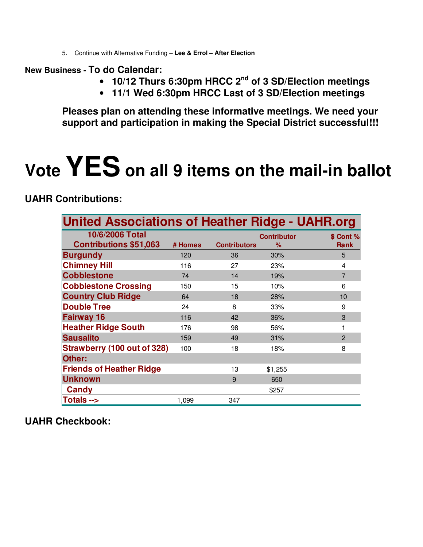5. Continue with Alternative Funding – **Lee & Errol – After Election**

#### **New Business - To do Calendar:**

- **10/12 Thurs 6:30pm HRCC 2 nd of 3 SD/Election meetings**
- **11/1 Wed 6:30pm HRCC Last of 3 SD/Election meetings**

**Pleases plan on attending these informative meetings. We need your support and participation in making the Special District successful!!!**

# **Vote YES on all <sup>9</sup> items on the mail-in ballot**

**UAHR Contributions:**

| <b>United Associations of Heather Ridge - UAHR.org</b> |         |                     |                         |  |                          |  |  |  |
|--------------------------------------------------------|---------|---------------------|-------------------------|--|--------------------------|--|--|--|
| 10/6/2006 Total<br><b>Contributions \$51,063</b>       | # Homes | <b>Contributors</b> | <b>Contributor</b><br>% |  | \$ Cont %<br><b>Rank</b> |  |  |  |
| <b>Burgundy</b>                                        | 120     | 36                  | 30%                     |  | 5                        |  |  |  |
| <b>Chimney Hill</b>                                    | 116     | 27                  | 23%                     |  | 4                        |  |  |  |
| <b>Cobblestone</b>                                     | 74      | 14                  | 19%                     |  | $\overline{7}$           |  |  |  |
| <b>Cobblestone Crossing</b>                            | 150     | 15                  | 10%                     |  | 6                        |  |  |  |
| <b>Country Club Ridge</b>                              | 64      | 18                  | 28%                     |  | 10                       |  |  |  |
| <b>Double Tree</b>                                     | 24      | 8                   | 33%                     |  | 9                        |  |  |  |
| <b>Fairway 16</b>                                      | 116     | 42                  | 36%                     |  | 3                        |  |  |  |
| <b>Heather Ridge South</b>                             | 176     | 98                  | 56%                     |  | 1                        |  |  |  |
| <b>Sausalito</b>                                       | 159     | 49                  | 31%                     |  | $\overline{2}$           |  |  |  |
| <b>Strawberry (100 out of 328)</b>                     | 100     | 18                  | 18%                     |  | 8                        |  |  |  |
| Other:                                                 |         |                     |                         |  |                          |  |  |  |
| <b>Friends of Heather Ridge</b>                        |         | 13                  | \$1,255                 |  |                          |  |  |  |
| <b>Unknown</b>                                         |         | 9                   | 650                     |  |                          |  |  |  |
| Candy                                                  |         |                     | \$257                   |  |                          |  |  |  |
| Totals -->                                             | 1,099   | 347                 |                         |  |                          |  |  |  |

**UAHR Checkbook:**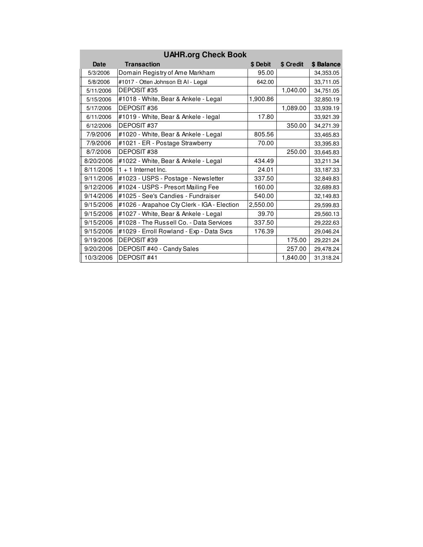| <b>UAHR.org Check Book</b> |                                             |          |           |            |  |  |  |  |
|----------------------------|---------------------------------------------|----------|-----------|------------|--|--|--|--|
| Date                       | <b>Transaction</b>                          | \$ Debit | \$ Credit | \$ Balance |  |  |  |  |
| 5/3/2006                   | Domain Registry of Ame Markham              | 95.00    |           | 34,353.05  |  |  |  |  |
| 5/8/2006                   | #1017 - Otten Johnson Et AI - Legal         | 642.00   |           | 33,711.05  |  |  |  |  |
| 5/11/2006                  | DEPOSIT#35                                  |          | 1,040.00  | 34,751.05  |  |  |  |  |
| 5/15/2006                  | #1018 - White, Bear & Ankele - Legal        | 1,900.86 |           | 32,850.19  |  |  |  |  |
| 5/17/2006                  | DEPOSIT #36                                 |          | 1,089.00  | 33,939.19  |  |  |  |  |
| 6/11/2006                  | #1019 - White, Bear & Ankele - legal        | 17.80    |           | 33,921.39  |  |  |  |  |
| 6/12/2006                  | DEPOSIT #37                                 |          | 350.00    | 34,271.39  |  |  |  |  |
| 7/9/2006                   | #1020 - White, Bear & Ankele - Legal        | 805.56   |           | 33,465.83  |  |  |  |  |
| 7/9/2006                   | #1021 - ER - Postage Strawberry             | 70.00    |           | 33,395.83  |  |  |  |  |
| 8/7/2006                   | DEPOSIT #38                                 |          | 250.00    | 33,645.83  |  |  |  |  |
| 8/20/2006                  | #1022 - White, Bear & Ankele - Legal        | 434.49   |           | 33,211.34  |  |  |  |  |
| 8/11/2006                  | $1 + 1$ Internet Inc.                       | 24.01    |           | 33,187.33  |  |  |  |  |
| 9/11/2006                  | #1023 - USPS - Postage - Newsletter         | 337.50   |           | 32,849.83  |  |  |  |  |
| 9/12/2006                  | #1024 - USPS - Presort Mailing Fee          | 160.00   |           | 32,689.83  |  |  |  |  |
| 9/14/2006                  | #1025 - See's Candies - Fundraiser          | 540.00   |           | 32,149.83  |  |  |  |  |
| 9/15/2006                  | #1026 - Arapahoe Cty Clerk - IGA - Election | 2,550.00 |           | 29,599.83  |  |  |  |  |
| 9/15/2006                  | #1027 - White, Bear & Ankele - Legal        | 39.70    |           | 29,560.13  |  |  |  |  |
| 9/15/2006                  | #1028 - The Russell Co. - Data Services     | 337.50   |           | 29,222.63  |  |  |  |  |
| 9/15/2006                  | #1029 - Erroll Rowland - Exp - Data Svcs    | 176.39   |           | 29,046.24  |  |  |  |  |
| 9/19/2006                  | DEPOSIT #39                                 |          | 175.00    | 29,221.24  |  |  |  |  |
| 9/20/2006                  | DEPOSIT #40 - Candy Sales                   |          | 257.00    | 29,478.24  |  |  |  |  |
| 10/3/2006                  | DEPOSIT #41                                 |          | 1,840.00  | 31,318.24  |  |  |  |  |